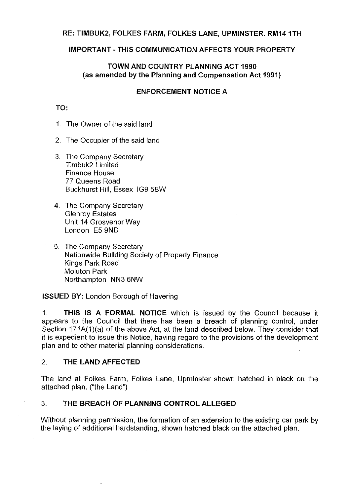#### **RE: TIMBUK2, FOLKES FARM, FOLKES LANE, UPMINSTER. RM14 1TH**

### **IMPORT ANT - THIS COMMUNICATION AFFECTS YOUR PROPERTY**

# **TOWN AND COUNTRY PLANNING ACT 1990 (as amended by the Planning and Compensation Act 1991)**

#### **ENFORCEMENT NOTICE A**

### **TO:**

- 1. The Owner of the said land
- 2. The Occupier of the said land
- 3. The Company Secretary Timbuk2 Limited Finance House 77 Queens Road Buckhurst Hill, Essex IG9 5BW
- **4.** The Company Secretary Glenroy Estates Unit 14 Grosvenor Way London E5 9ND
- 5. The Company Secretary Nationwide Building Society of Property Finance Kings Park Road Moluton Park Northampton NN3 6NW

**ISSUED BY:** London Borough of Havering

1. **THIS IS A FORMAL NOTICE** which is issued by the Council because it appears to the Council that there has been a breach of planning control, under Section 171A(1)(a) of the above Act, at the land described below. They consider that it is expedient to issue this Notice, having regard to the provisions of the development plan and to other material planning considerations.

#### 2. **THE LAND AFFECTED**

The land at Folkes Farm, Folkes Lane, Upminster shown hatched in black on the attached plan. ("the Land")

#### 3. **THE BREACH OF PLANNING CONTROL ALLEGED**

Without planning permission, the formation of an extension to the existing car park by the laying of additional hardstanding, shown hatched black on the attached plan.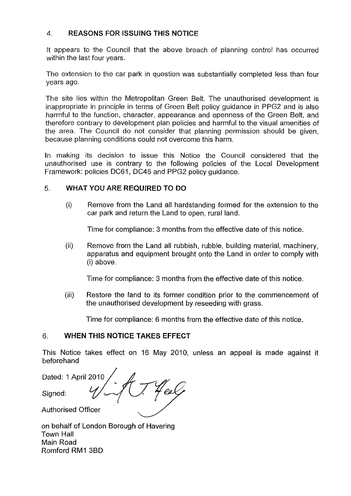# 4. **REASONS FOR ISSUING THIS NOTICE**

It appears to the Council that the above breach of planning control has occurred within the last four years.

The extension to the car park in question was substantially completed less than four years ago.

The site lies within the Metropolitan Green Belt. The unauthorised development is inappropriate in principle in terms of Green Belt policy guidance in PPG2 and is also harmful to the function, character, appearance and openness of the Green Belt, and therefore contrary to development plan policies and harmful to the visual amenities of the area. The Council do not consider that planning permission should be given, because planning conditions could not overcome this harm.

In making its decision to issue this Notice the Council considered that the unauthorised use is contrary to the following policies of the Local Development Framework: policies DC61, DC45 and PPG2 policy guidance.

# 5. **WHAT YOU ARE REQUIRED TO DO**

(i) Remove from the Land all hardstanding formed for the extension to the car park and return the Land to open, rural land.

Time for compliance: 3 months from the effective date of this notice.

(ii) Remove from the Land all rubbish, rubble, building material, machinery, apparatus and equipment brought onto the Land in order to comply with (i) above.

Time for compliance: 3 months from the effective date of this notice.

(iii) Restore the land to its former condition prior to the commencement of the unauthorised development by reseeding with grass.

Time for compliance: 6 months from the effective date of this notice.

# 6. **WHEN THIS NOTICE TAKES EFFECT**

This Notice takes effect on 16 May 2010, unless an appeal is made against it beforehand

Dated: 1 April 2010 'esk Signed:

Authorised Officer

on behalf of London Borough of Havering Town Hall Main Road Romford RM1 38D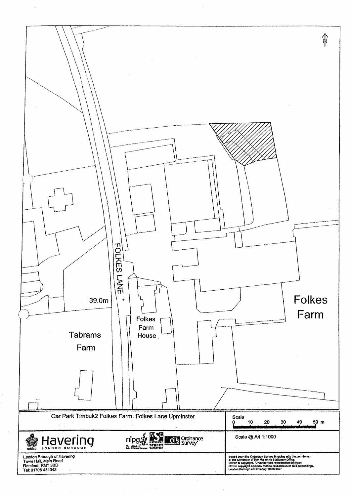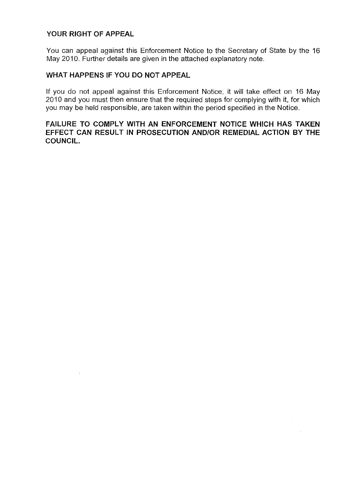# **YOUR RIGHT OF APPEAL**

You can appeal against this Enforcement Notice to the Secretary of State by the 16 May 2010. Further details are given in the attached explanatory note.

### **WHAT HAPPENS IF YOU DO NOT APPEAL**

If you do not appeal against this Enforcement Notice, it will take effect on 16 May 2010 and you must then ensure that the required steps for complying with it, for which you may be held responsible, are taken within the period specified in the Notice.

# **FAILURE TO COMPLY WITH AN ENFORCEMENT NOTICE WHICH HAS TAKEN EFFECT CAN RESULT IN PROSECUTION AND/OR REMEDIAL ACTION BY THE COUNCIL.**

 $\sim 10^6$ 

 $\mathcal{A}^{\mathcal{A}}$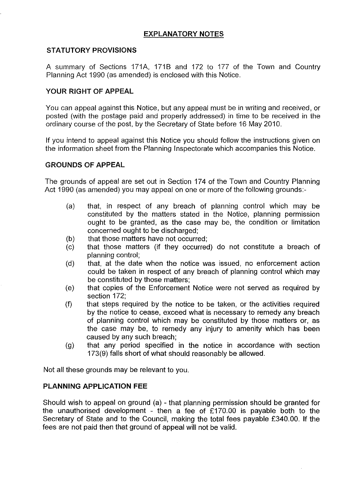# **EXPLANATORY NOTES**

# **STATUTORY PROVISIONS**

A summary of Sections 171A, 171B and 172 to 177 of the Town and Country Planning Act 1990 (as amended) is enclosed with this Notice.

### **YOUR RIGHT OF APPEAL**

You can appeal against this Notice, but any appeal must be in writing and received, or posted (with the postage paid and properly addressed) in time to be received in the ordinary course of the post, by the Secretary of State before 16 May 2010.

If you intend to appeal against this Notice you should follow the instructions given on the information sheet from the Planning Inspectorate which accompanies this Notice.

### **GROUNDS OF APPEAL**

The grounds of appeal are set out in Section 174 of the Town and Country Planning Act 1990 (as amended) you may appeal on one or more of the following grounds:-

- (a) that, in respect of any breach of planning control which may be constituted by the matters stated in the Notice, planning permission ought to be granted, as the case may be, the condition or limitation concerned ought to be discharged:
- (b) that those matters have not occurred;
- (c) that those matters (if they occurred) do not constitute a breach of planning control;
- (d) that, at the date when the notice was issued, no enforcement action could be taken in respect of any breach of planning control which may be constituted by those matters;
- (e) that copies of the Enforcement Notice were not served as required by section 172;
- (f) that steps required by the notice to be taken, or the activities required by the notice to cease, exceed what is necessary to remedy any breach of planning control which may be constituted by those matters or, as the case may be, to remedy any injury to amenity which has been caused by any such breach;
- (g) that any period specified in the notice in accordance with section 173(9) falls short of what should reasonably be allowed.

Not all these grounds may be relevant to you.

# **PLANNING APPLICATION FEE**

Should wish to appeal on ground (a) - that planning permission should be granted for the unauthorised development - then a fee of £170.00 is payable both to the Secretary of State and to the Council, making the total fees payable £340.00. If the fees are not paid then that ground of appeal will not be valid.